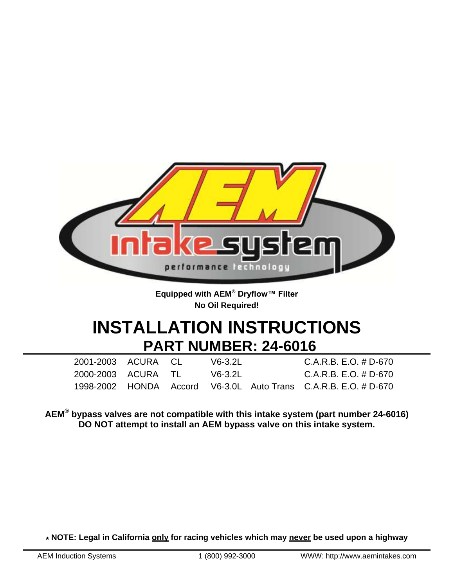

**Equipped with AEM® Dryflow™ Filter No Oil Required!**

# **INSTALLATION INSTRUCTIONS PART NUMBER: 24-6016**

| 2001-2003 ACURA CL |  | V6-3.2L | $C.A.R.B. E.O. # D-670$                                         |
|--------------------|--|---------|-----------------------------------------------------------------|
| 2000-2003 ACURA TL |  | V6-3.2L | $C.A.R.B. E.O. # D-670$                                         |
|                    |  |         | 1998-2002 HONDA Accord V6-3.0L Auto Trans C.A.R.B. E.O. # D-670 |

**AEM® bypass valves are not compatible with this intake system (part number 24-6016) DO NOT attempt to install an AEM bypass valve on this intake system.**

**\* NOTE: Legal in California only for racing vehicles which may never be used upon a highway**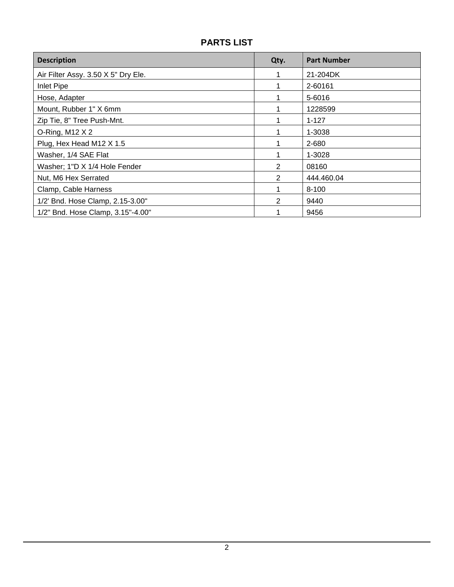# **PARTS LIST**

| <b>Description</b>                  | Qty. | <b>Part Number</b> |
|-------------------------------------|------|--------------------|
| Air Filter Assy. 3.50 X 5" Dry Ele. |      | 21-204DK           |
| Inlet Pipe                          |      | 2-60161            |
| Hose, Adapter                       |      | 5-6016             |
| Mount, Rubber 1" X 6mm              |      | 1228599            |
| Zip Tie, 8" Tree Push-Mnt.          |      | $1 - 127$          |
| O-Ring, M12 $X$ 2                   |      | 1-3038             |
| Plug, Hex Head M12 X 1.5            |      | 2-680              |
| Washer, 1/4 SAE Flat                |      | 1-3028             |
| Washer; 1"D X 1/4 Hole Fender       | 2    | 08160              |
| Nut, M6 Hex Serrated                | 2    | 444.460.04         |
| Clamp, Cable Harness                |      | $8 - 100$          |
| 1/2' Bnd. Hose Clamp, 2.15-3.00"    | 2    | 9440               |
| 1/2" Bnd. Hose Clamp, 3.15"-4.00"   |      | 9456               |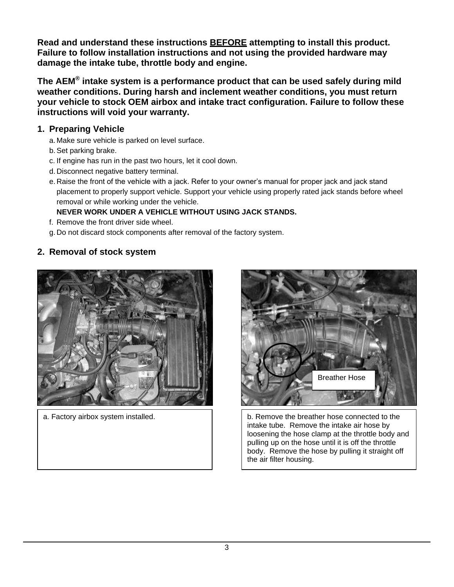**Read and understand these instructions BEFORE attempting to install this product. Failure to follow installation instructions and not using the provided hardware may damage the intake tube, throttle body and engine.**

**The AEM® intake system is a performance product that can be used safely during mild weather conditions. During harsh and inclement weather conditions, you must return your vehicle to stock OEM airbox and intake tract configuration. Failure to follow these instructions will void your warranty.**

### **1. Preparing Vehicle**

- a. Make sure vehicle is parked on level surface.
- b.Set parking brake.
- c. If engine has run in the past two hours, let it cool down.
- d. Disconnect negative battery terminal.
- e. Raise the front of the vehicle with a jack. Refer to your owner's manual for proper jack and jack stand placement to properly support vehicle. Support your vehicle using properly rated jack stands before wheel removal or while working under the vehicle.

## **NEVER WORK UNDER A VEHICLE WITHOUT USING JACK STANDS.**

- f. Remove the front driver side wheel.
- g. Do not discard stock components after removal of the factory system.

# **2. Removal of stock system**



a. Factory airbox system installed.



b. Remove the breather hose connected to the intake tube. Remove the intake air hose by loosening the hose clamp at the throttle body and pulling up on the hose until it is off the throttle body. Remove the hose by pulling it straight off the air filter housing.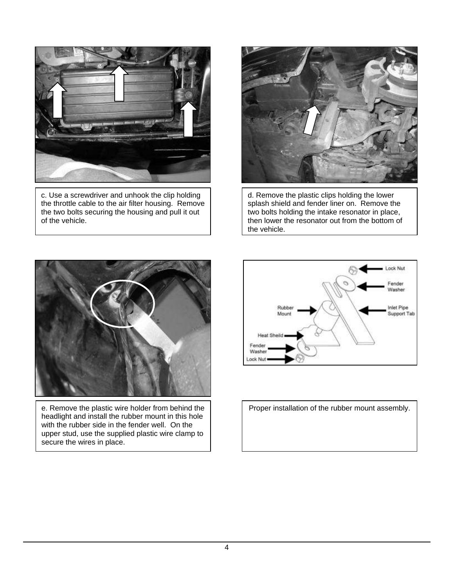

c. Use a screwdriver and unhook the clip holding the throttle cable to the air filter housing. Remove the two bolts securing the housing and pull it out of the vehicle.



d. Remove the plastic clips holding the lower splash shield and fender liner on. Remove the two bolts holding the intake resonator in place, then lower the resonator out from the bottom of the vehicle.



e. Remove the plastic wire holder from behind the headlight and install the rubber mount in this hole with the rubber side in the fender well. On the upper stud, use the supplied plastic wire clamp to secure the wires in place.



Proper installation of the rubber mount assembly.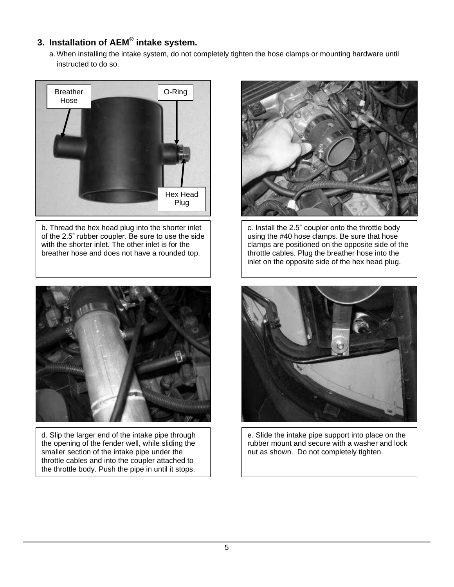# **3. Installation of AEM® intake system.**

a. When installing the intake system, do not completely tighten the hose clamps or mounting hardware until instructed to do so.



b. Thread the hex head plug into the shorter inlet of the 2.5" rubber coupler. Be sure to use the side with the shorter inlet. The other inlet is for the breather hose and does not have a rounded top.



d. Slip the larger end of the intake pipe through the opening of the fender well, while sliding the smaller section of the intake pipe under the throttle cables and into the coupler attached to the throttle body. Push the pipe in until it stops.



c. Install the 2.5" coupler onto the throttle body using the #40 hose clamps. Be sure that hose clamps are positioned on the opposite side of the throttle cables. Plug the breather hose into the inlet on the opposite side of the hex head plug.



e. Slide the intake pipe support into place on the rubber mount and secure with a washer and lock nut as shown. Do not completely tighten.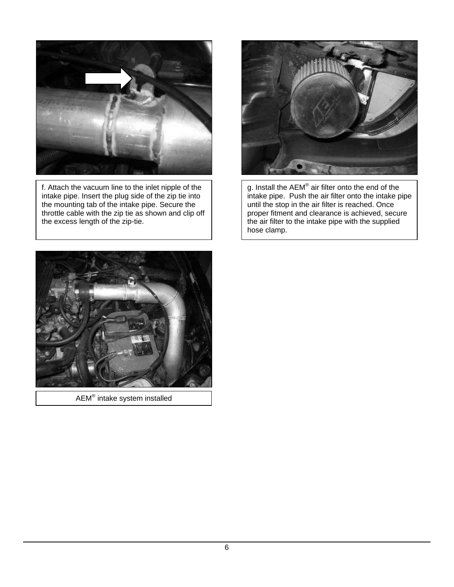

f. Attach the vacuum line to the inlet nipple of the intake pipe. Insert the plug side of the zip tie into the mounting tab of the intake pipe. Secure the throttle cable with the zip tie as shown and clip off the excess length of the zip-tie.



g. Install the AEM $^{\circledast}$  air filter onto the end of the intake pipe. Push the air filter onto the intake pipe until the stop in the air filter is reached. Once proper fitment and clearance is achieved, secure the air filter to the intake pipe with the supplied hose clamp.



 $\mathsf{AEM}^\circledast$  intake system installed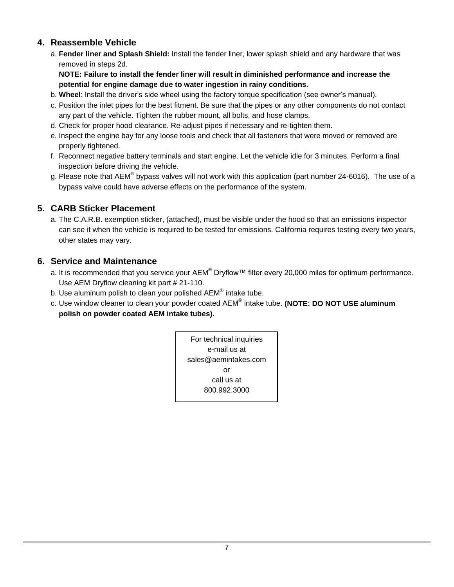#### **4. Reassemble Vehicle**

a. **Fender liner and Splash Shield:** Install the fender liner, lower splash shield and any hardware that was removed in steps 2d.

**NOTE: Failure to install the fender liner will result in diminished performance and increase the potential for engine damage due to water ingestion in rainy conditions.**

- b. **Wheel**: Install the driver's side wheel using the factory torque specification (see owner's manual).
- c. Position the inlet pipes for the best fitment. Be sure that the pipes or any other components do not contact any part of the vehicle. Tighten the rubber mount, all bolts, and hose clamps.
- d. Check for proper hood clearance. Re-adjust pipes if necessary and re-tighten them.
- e. Inspect the engine bay for any loose tools and check that all fasteners that were moved or removed are properly tightened.
- f. Reconnect negative battery terminals and start engine. Let the vehicle idle for 3 minutes. Perform a final inspection before driving the vehicle.
- g. Please note that AEM® bypass valves will not work with this application (part number 24-6016). The use of a bypass valve could have adverse effects on the performance of the system.

### **5. CARB Sticker Placement**

a. The C.A.R.B. exemption sticker, (attached), must be visible under the hood so that an emissions inspector can see it when the vehicle is required to be tested for emissions. California requires testing every two years, other states may vary.

#### **6. Service and Maintenance**

- a. It is recommended that you service your AEM® Dryflow™ filter every 20,000 miles for optimum performance. Use AEM Dryflow cleaning kit part # 21-110.
- b. Use aluminum polish to clean your polished AEM® intake tube.
- c. Use window cleaner to clean your powder coated AEM® intake tube. **(NOTE: DO NOT USE aluminum polish on powder coated AEM intake tubes).**

For technical inquiries e-mail us at sales@aemintakes.com or call us at 800.992.3000